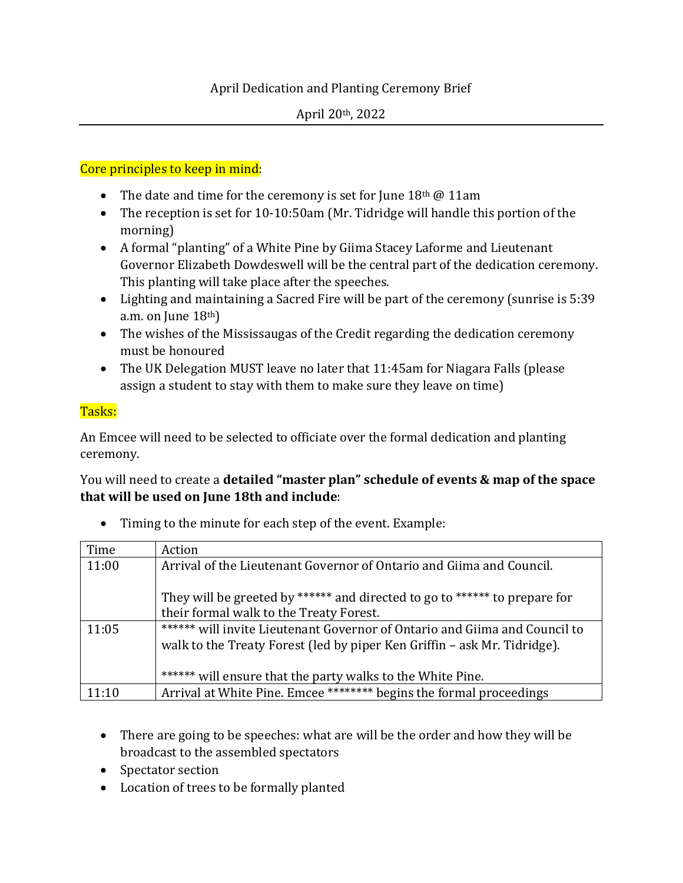## April Dedication and Planting Ceremony Brief

## Core principles to keep in mind:

- The date and time for the ceremony is set for June  $18<sup>th</sup>$  @ 11am
- The reception is set for 10-10:50am (Mr. Tidridge will handle this portion of the morning)
- A formal "planting" of a White Pine by Giima Stacey Laforme and Lieutenant Governor Elizabeth Dowdeswell will be the central part of the dedication ceremony. This planting will take place after the speeches.
- Lighting and maintaining a Sacred Fire will be part of the ceremony (sunrise is 5:39 a.m. on June  $18<sup>th</sup>$ )
- The wishes of the Mississaugas of the Credit regarding the dedication ceremony must be honoured
- The UK Delegation MUST leave no later that 11:45am for Niagara Falls (please assign a student to stay with them to make sure they leave on time)

## Tasks:

An Emcee will need to be selected to officiate over the formal dedication and planting ceremony.

You will need to create a **detailed "master plan" schedule of events & map of the space that will be used on June 18th and include**:

| Time  | Action                                                                                                                                                 |
|-------|--------------------------------------------------------------------------------------------------------------------------------------------------------|
| 11:00 | Arrival of the Lieutenant Governor of Ontario and Giima and Council.                                                                                   |
|       | They will be greeted by ****** and directed to go to ****** to prepare for                                                                             |
|       | their formal walk to the Treaty Forest.                                                                                                                |
| 11:05 | ****** will invite Lieutenant Governor of Ontario and Giima and Council to<br>walk to the Treaty Forest (led by piper Ken Griffin – ask Mr. Tidridge). |
|       | ****** will ensure that the party walks to the White Pine.                                                                                             |
| 11:10 | Arrival at White Pine. Emcee ******** begins the formal proceedings                                                                                    |

• Timing to the minute for each step of the event. Example:

- There are going to be speeches: what are will be the order and how they will be broadcast to the assembled spectators
- Spectator section
- Location of trees to be formally planted